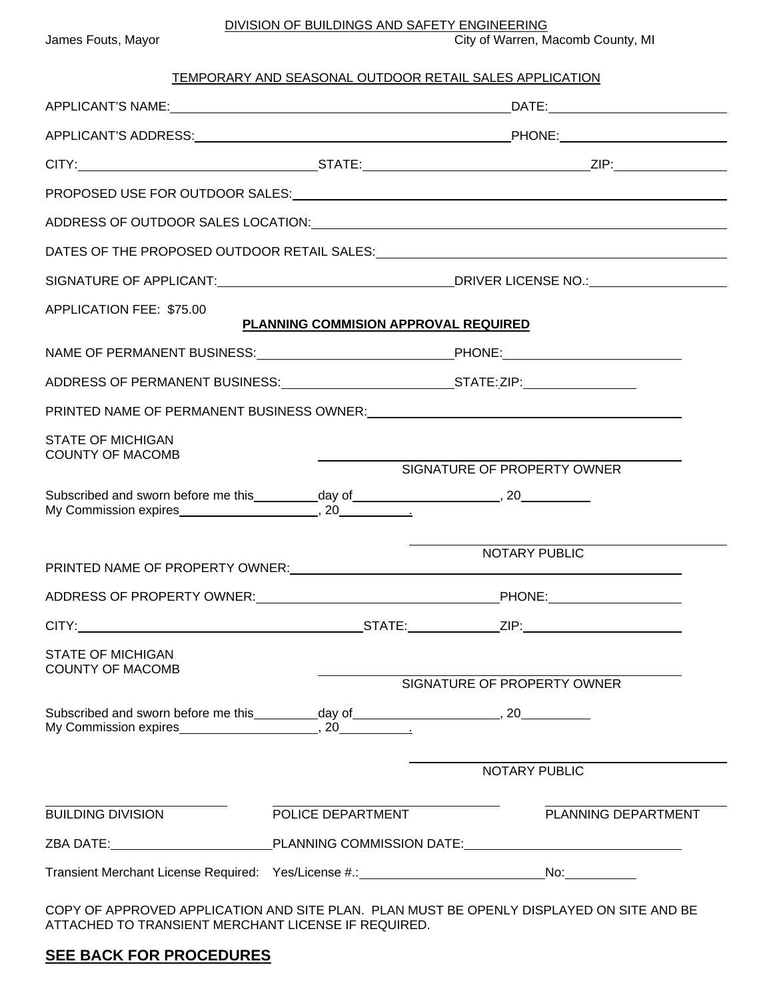DIVISION OF BUILDINGS AND SAFETY ENGINEERING

| James Fouts, Mayor |  |
|--------------------|--|
|--------------------|--|

City of Warren, Macomb County, MI

## TEMPORARY AND SEASONAL OUTDOOR RETAIL SALES APPLICATION

|                                                     |                                                  | PROPOSED USE FOR OUTDOOR SALES: Notified and the set of the set of the set of the set of the set of the set of the set of the set of the set of the set of the set of the set of the set of the set of the set of the set of t |  |
|-----------------------------------------------------|--------------------------------------------------|--------------------------------------------------------------------------------------------------------------------------------------------------------------------------------------------------------------------------------|--|
|                                                     |                                                  | ADDRESS OF OUTDOOR SALES LOCATION: And the annual state of the state of the state of the state of the state of the state of the state of the state of the state of the state of the state of the state of the state of the sta |  |
|                                                     |                                                  |                                                                                                                                                                                                                                |  |
|                                                     |                                                  |                                                                                                                                                                                                                                |  |
| APPLICATION FEE: \$75.00                            | PLANNING COMMISION APPROVAL REQUIRED             |                                                                                                                                                                                                                                |  |
|                                                     | NAME OF PERMANENT BUSINESS: PHONE: PHONE: PHONE: |                                                                                                                                                                                                                                |  |
|                                                     |                                                  |                                                                                                                                                                                                                                |  |
|                                                     |                                                  | PRINTED NAME OF PERMANENT BUSINESS OWNER: CONDITIONAL CONTRACT AND A RESIDENCE AND A RESIDENCE OF PERMANENT BUSINESS OWNER:                                                                                                    |  |
| <b>STATE OF MICHIGAN</b><br><b>COUNTY OF MACOMB</b> |                                                  |                                                                                                                                                                                                                                |  |
|                                                     |                                                  | SIGNATURE OF PROPERTY OWNER                                                                                                                                                                                                    |  |
|                                                     |                                                  |                                                                                                                                                                                                                                |  |
|                                                     |                                                  | NOTARY PUBLIC                                                                                                                                                                                                                  |  |
|                                                     |                                                  |                                                                                                                                                                                                                                |  |
|                                                     |                                                  |                                                                                                                                                                                                                                |  |
| <b>STATE OF MICHIGAN</b>                            |                                                  |                                                                                                                                                                                                                                |  |
| <b>COUNTY OF MACOMB</b>                             |                                                  | SIGNATURE OF PROPERTY OWNER                                                                                                                                                                                                    |  |
|                                                     |                                                  |                                                                                                                                                                                                                                |  |
|                                                     |                                                  | NOTARY PUBLIC                                                                                                                                                                                                                  |  |
| <b>BUILDING DIVISION</b>                            | POLICE DEPARTMENT                                | PLANNING DEPARTMENT                                                                                                                                                                                                            |  |
|                                                     |                                                  |                                                                                                                                                                                                                                |  |
|                                                     |                                                  |                                                                                                                                                                                                                                |  |
|                                                     |                                                  | CODY OF ARRANGEMENT ARRIVATION AND SITE RUAN. RUAN MUST BE ORENLY BISRUAYED ON SITE AND RE                                                                                                                                     |  |

COPY OF APPROVED APPLICATION AND SITE PLAN. PLAN MUST BE OPENLY DISPLAYED ON SITE AND BE ATTACHED TO TRANSIENT MERCHANT LICENSE IF REQUIRED.

## **SEE BACK FOR PROCEDURES**